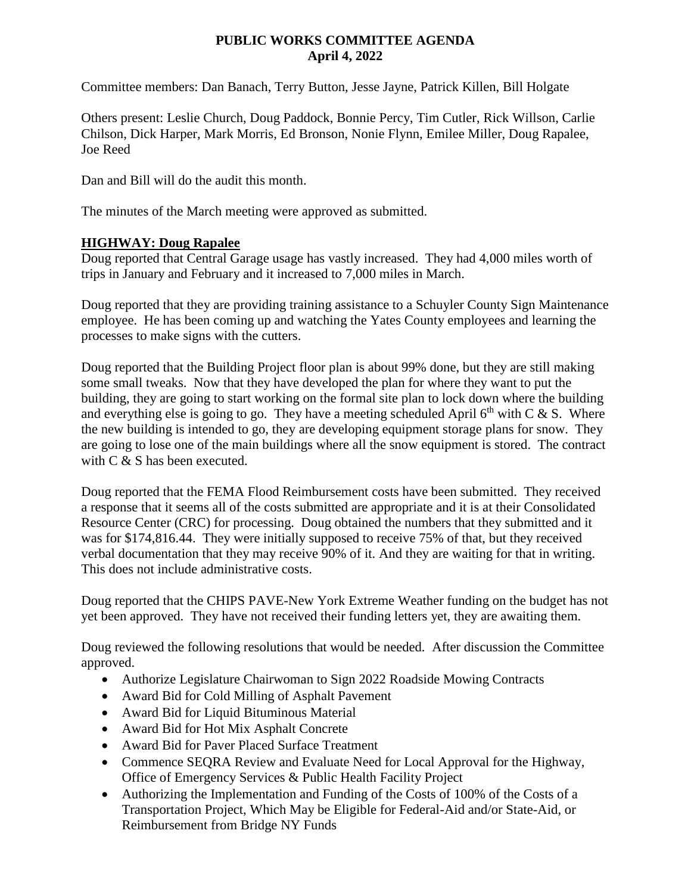## **PUBLIC WORKS COMMITTEE AGENDA April 4, 2022**

Committee members: Dan Banach, Terry Button, Jesse Jayne, Patrick Killen, Bill Holgate

Others present: Leslie Church, Doug Paddock, Bonnie Percy, Tim Cutler, Rick Willson, Carlie Chilson, Dick Harper, Mark Morris, Ed Bronson, Nonie Flynn, Emilee Miller, Doug Rapalee, Joe Reed

Dan and Bill will do the audit this month.

The minutes of the March meeting were approved as submitted.

## **HIGHWAY: Doug Rapalee**

Doug reported that Central Garage usage has vastly increased. They had 4,000 miles worth of trips in January and February and it increased to 7,000 miles in March.

Doug reported that they are providing training assistance to a Schuyler County Sign Maintenance employee. He has been coming up and watching the Yates County employees and learning the processes to make signs with the cutters.

Doug reported that the Building Project floor plan is about 99% done, but they are still making some small tweaks. Now that they have developed the plan for where they want to put the building, they are going to start working on the formal site plan to lock down where the building and everything else is going to go. They have a meeting scheduled April  $6<sup>th</sup>$  with C & S. Where the new building is intended to go, they are developing equipment storage plans for snow. They are going to lose one of the main buildings where all the snow equipment is stored. The contract with C & S has been executed.

Doug reported that the FEMA Flood Reimbursement costs have been submitted. They received a response that it seems all of the costs submitted are appropriate and it is at their Consolidated Resource Center (CRC) for processing. Doug obtained the numbers that they submitted and it was for \$174,816.44. They were initially supposed to receive 75% of that, but they received verbal documentation that they may receive 90% of it. And they are waiting for that in writing. This does not include administrative costs.

Doug reported that the CHIPS PAVE-New York Extreme Weather funding on the budget has not yet been approved. They have not received their funding letters yet, they are awaiting them.

Doug reviewed the following resolutions that would be needed. After discussion the Committee approved.

- Authorize Legislature Chairwoman to Sign 2022 Roadside Mowing Contracts
- Award Bid for Cold Milling of Asphalt Pavement
- Award Bid for Liquid Bituminous Material
- Award Bid for Hot Mix Asphalt Concrete
- Award Bid for Paver Placed Surface Treatment
- Commence SEQRA Review and Evaluate Need for Local Approval for the Highway, Office of Emergency Services & Public Health Facility Project
- Authorizing the Implementation and Funding of the Costs of 100% of the Costs of a Transportation Project, Which May be Eligible for Federal-Aid and/or State-Aid, or Reimbursement from Bridge NY Funds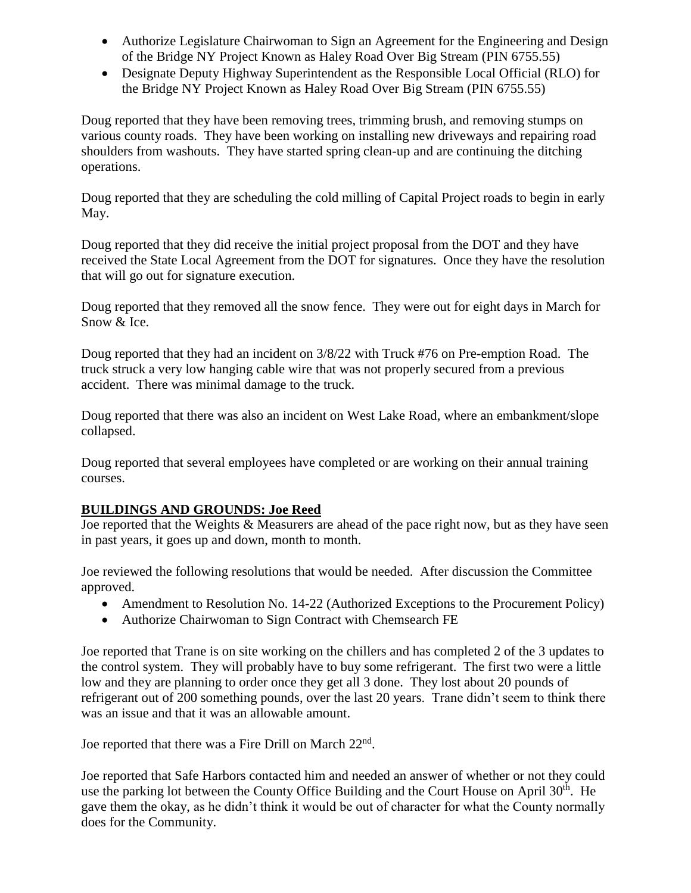- Authorize Legislature Chairwoman to Sign an Agreement for the Engineering and Design of the Bridge NY Project Known as Haley Road Over Big Stream (PIN 6755.55)
- Designate Deputy Highway Superintendent as the Responsible Local Official (RLO) for the Bridge NY Project Known as Haley Road Over Big Stream (PIN 6755.55)

Doug reported that they have been removing trees, trimming brush, and removing stumps on various county roads. They have been working on installing new driveways and repairing road shoulders from washouts. They have started spring clean-up and are continuing the ditching operations.

Doug reported that they are scheduling the cold milling of Capital Project roads to begin in early May.

Doug reported that they did receive the initial project proposal from the DOT and they have received the State Local Agreement from the DOT for signatures. Once they have the resolution that will go out for signature execution.

Doug reported that they removed all the snow fence. They were out for eight days in March for Snow & Ice.

Doug reported that they had an incident on 3/8/22 with Truck #76 on Pre-emption Road. The truck struck a very low hanging cable wire that was not properly secured from a previous accident. There was minimal damage to the truck.

Doug reported that there was also an incident on West Lake Road, where an embankment/slope collapsed.

Doug reported that several employees have completed or are working on their annual training courses.

## **BUILDINGS AND GROUNDS: Joe Reed**

Joe reported that the Weights & Measurers are ahead of the pace right now, but as they have seen in past years, it goes up and down, month to month.

Joe reviewed the following resolutions that would be needed. After discussion the Committee approved.

- Amendment to Resolution No. 14-22 (Authorized Exceptions to the Procurement Policy)
- Authorize Chairwoman to Sign Contract with Chemsearch FE

Joe reported that Trane is on site working on the chillers and has completed 2 of the 3 updates to the control system. They will probably have to buy some refrigerant. The first two were a little low and they are planning to order once they get all 3 done. They lost about 20 pounds of refrigerant out of 200 something pounds, over the last 20 years. Trane didn't seem to think there was an issue and that it was an allowable amount.

Joe reported that there was a Fire Drill on March 22<sup>nd</sup>.

Joe reported that Safe Harbors contacted him and needed an answer of whether or not they could use the parking lot between the County Office Building and the Court House on April  $30<sup>th</sup>$ . He gave them the okay, as he didn't think it would be out of character for what the County normally does for the Community.